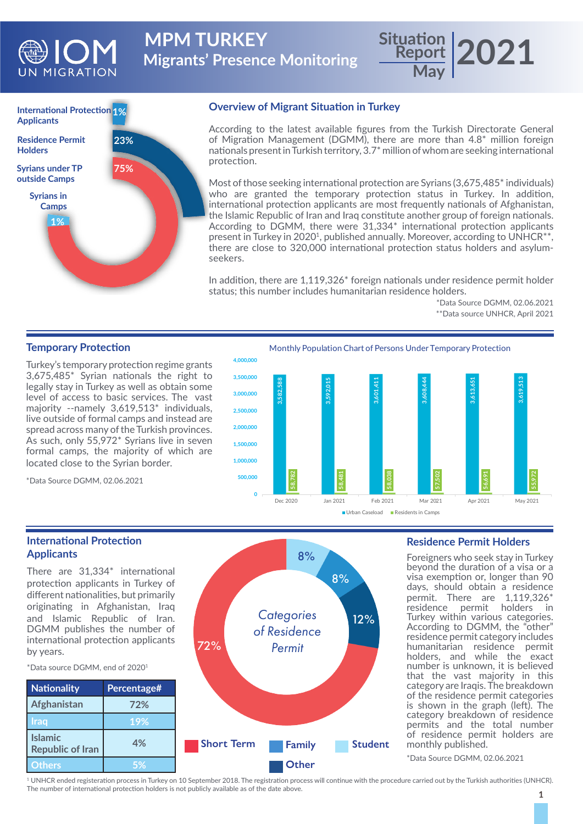

**Migrants' Presence Monitoring MPM TURKEY** 

# **International Protection 1% Applicants Syrians under TP outside Camps 1% 75% 23% Syrians in Camps Residence Permit Holders**

# **Overview of Migrant Situation in Turkey**

According to the latest available figures from the Turkish Directorate General of Migration Management (DGMM), there are more than 4.8\* million foreign nationals present in Turkish territory, 3.7\* million of whom are seeking international protection.

**Report**

**May**

Most of those seeking international protection are Syrians (3,675,485\* individuals) who are granted the temporary protection status in Turkey. In addition, international protection applicants are most frequently nationals of Afghanistan, the Islamic Republic of Iran and Iraq constitute another group of foreign nationals. According to DGMM, there were 31,334\* international protection applicants present in Turkey in 2020<sup>1</sup>, published annually. Moreover, according to UNHCR<sup>\*\*</sup>, there are close to 320,000 international protection status holders and asylumseekers.

In addition, there are 1,119,326\* foreign nationals under residence permit holder status; this number includes humanitarian residence holders.

> \*Data Source DGMM, 02.06.2021 \*\*Data source UNHCR, April 2021

**2021**

## **Temporary Protection**

Turkey's temporary protection regime grants 3,675,485\* Syrian nationals the right to legally stay in Turkey as well as obtain some level of access to basic services. The vast majority --namely 3,619,513\* individuals, live outside of formal camps and instead are spread across many of the Turkish provinces. As such, only 55,972\* Syrians live in seven formal camps, the majority of which are located close to the Syrian border.

\*Data Source DGMM, 02.06.2021



### **International Protection Applicants**

There are 31,334\* international protection applicants in Turkey of different nationalities, but primarily originating in Afghanistan, Iraq and Islamic Republic of Iran. DGMM publishes the number of international protection applicants by years.

\*Data source DGMM, end of 20201



# **Residence Permit Holders**

Foreigners who seek stay in Turkey beyond the duration of a visa or a visa exemption or, longer than 90 days, should obtain a residence permit. There are 1,119,326\* residence permit holders in Turkey within various categories. According to DGMM, the "other" residence permit category includes humanitarian residence permit holders, and while the exact number is unknown, it is believed that the vast majority in this category are Iraqis. The breakdown of the residence permit categories is shown in the graph (left). The category breakdown of residence permits and the total number of residence permit holders are monthly published.

\*Data Source DGMM, 02.06.2021

1 UNHCR ended registeration process in Turkey on 10 September 2018. The registration process will continue with the procedure carried out by the Turkish authorities (UNHCR). The number of international protection holders is not publicly available as of the date above.